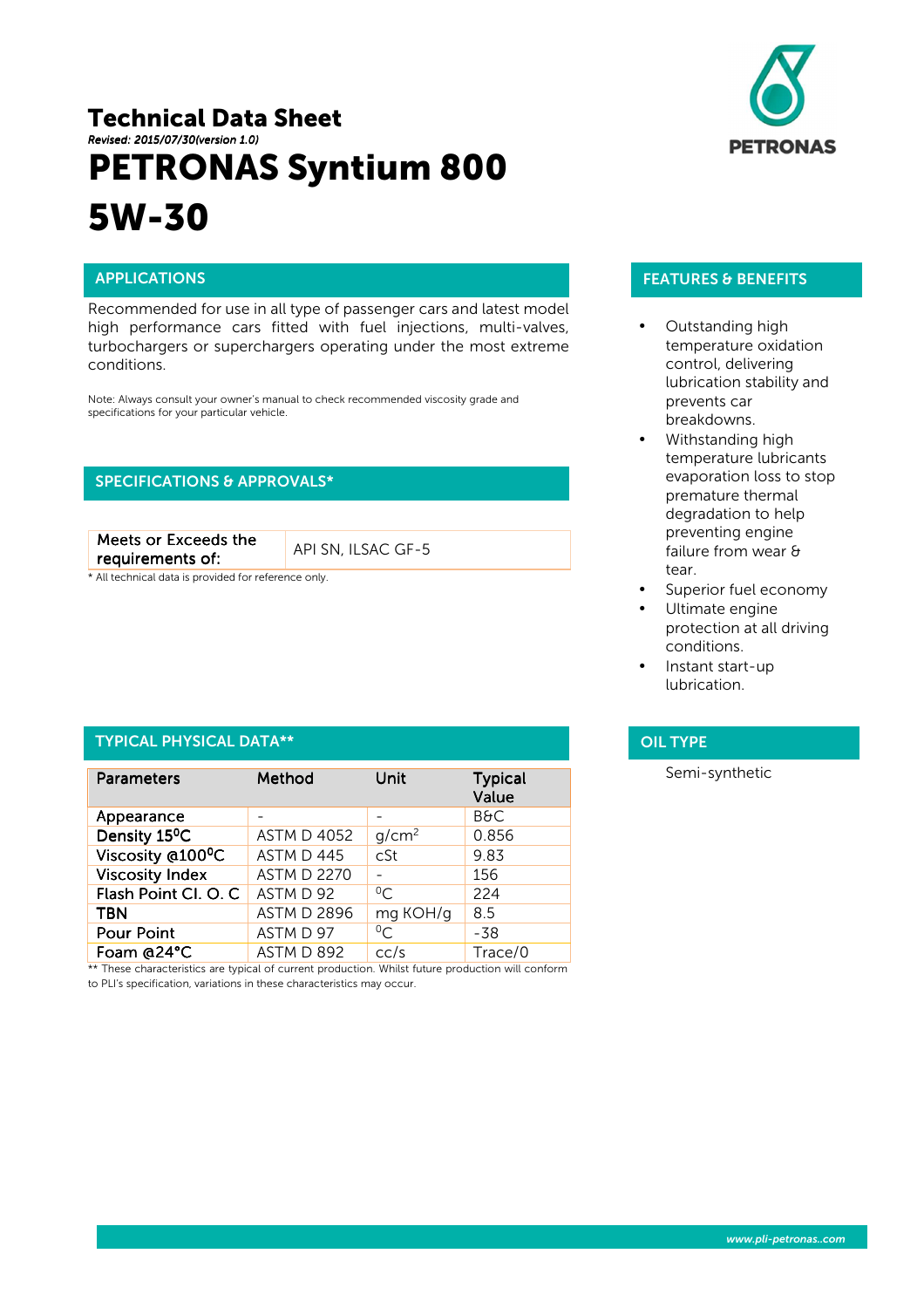# Technical Data Sheet *Revised: 2015 Revised: 2015/07/30(version 1.0) (version 1.0)* PETRONAS Syntium 800 5W-30



ł

Recommended for use in all type of passenger cars and latest model high performance cars fitted with fuel injections, multi-valves, turbochargers or superchargers operating under the most extreme conditions.

Note: Always consult your owner's manual to check recommended viscosity grade and specifications for your particular vehicle.

# SPECIFICATIONS & APPROVALS\*

Meets or Exceeds the requirements of: requirements of: API SN, ILSAC GF-5

\* All technical data is provided for reference only.

### TYPICAL PHYSICAL DATA\*\*

| <b>Parameters</b>         | Method             | Unit              | <b>Typical</b><br>Value |
|---------------------------|--------------------|-------------------|-------------------------|
| Appearance                |                    |                   | <b>B&amp;C</b>          |
| Density 15 <sup>o</sup> C | <b>ASTM D 4052</b> | q/cm <sup>2</sup> | 0.856                   |
| Viscosity @100°C          | ASTM D 445         | cSt               | 9.83                    |
| <b>Viscosity Index</b>    | <b>ASTM D 2270</b> |                   | 156                     |
| Flash Point Cl. O. C      | ASTM D 92          | $\Omega$          | 224                     |
| <b>TBN</b>                | <b>ASTM D 2896</b> | mg KOH/g          | 8.5                     |
| <b>Pour Point</b>         | ASTM D 97          | $^{0}C$           | -38                     |
| Foam @24°C                | ASTM D 892         | cc/s              | Trace/0                 |

\*\* These characteristics are typical of current production. Whilst future production will conform to PLI's specification, variations in these characteristics may occur.

# FEATURES & BENEFITS

- Outstanding high temperature oxidation control, delivering lubrication stability and prevents car breakdowns.
- Withstanding high temperature lubricants evaporation loss to stop premature thermal degradation to help preventing engine failure from wear & tear.
- Superior fuel economy
- Ultimate engine protection at all driving conditions.
- Instant start-up lubrication.

# OIL TYPE

Semi-synthetic